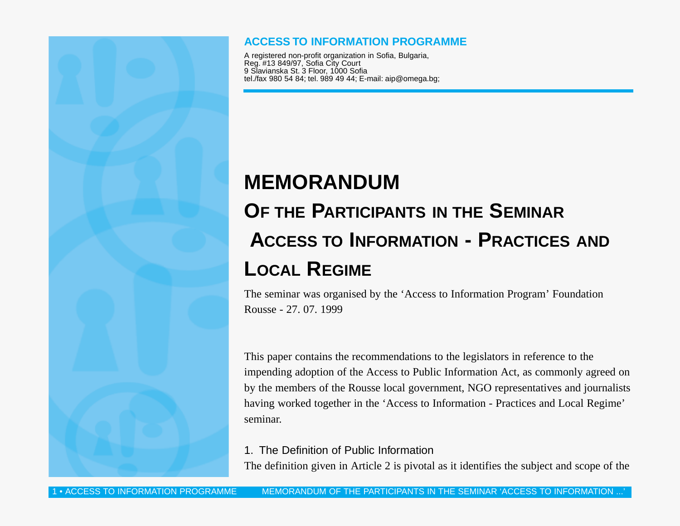## **ACCESS TO INFORMATION PROGRAMME**

A registered non-profit organization in Sofia, Bulgaria, Reg. #13 849/97, Sofia City Court 9 Slavianska St. 3 Floor, 1000 Sofia tel./fax 980 54 84; tel. 989 49 44; E-mail: aip@omega.bg;

# **MEMORANDUM OF THE PARTICIPANTS IN THE SEMINAR ACCESS TO INFORMATION - PRACTICES AND LOCAL REGIME**

The seminar was organised by the 'Access to Information Program' Foundation Rousse - 27. 07. 1999

This paper contains the recommendations to the legislators in reference to the impending adoption of the Access to Public Information Act, as commonly agreed on by the members of the Rousse local government, NGO representatives and journalists having worked together in the 'Access to Information - Practices and Local Regime' seminar.

## 1. The Definition of Public Information

The definition given in Article 2 is pivotal as it identifies the subject and scope of the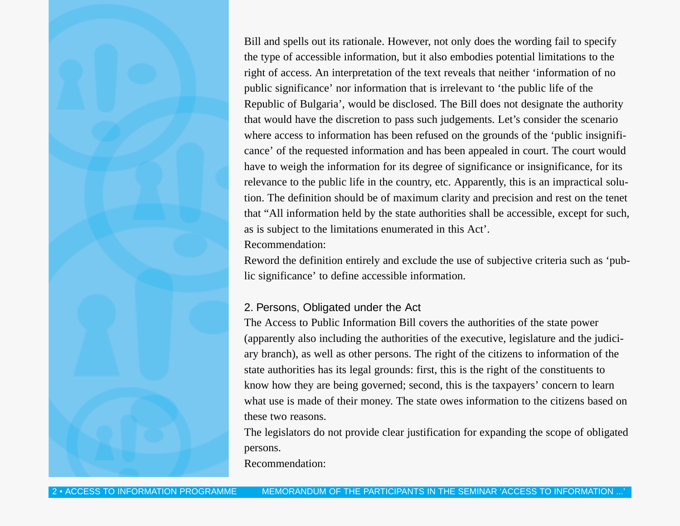Bill and spells out its rationale. However, not only does the wording fail to specify the type of accessible information, but it also embodies potential limitations to the right of access. An interpretation of the text reveals that neither 'information of no public significance' nor information that is irrelevant to 'the public life of the Republic of Bulgaria', would be disclosed. The Bill does not designate the authority that would have the discretion to pass such judgements. Let's consider the scenario where access to information has been refused on the grounds of the 'public insignificance' of the requested information and has been appealed in court. The court would have to weigh the information for its degree of significance or insignificance, for its relevance to the public life in the country, etc. Apparently, this is an impractical solution. The definition should be of maximum clarity and precision and rest on the tenet that "All information held by the state authorities shall be accessible, except for such, as is subject to the limitations enumerated in this Act'.

#### Recommendation:

Reword the definition entirely and exclude the use of subjective criteria such as 'public significance' to define accessible information.

# 2. Persons, Obligated under the Act

The Access to Public Information Bill covers the authorities of the state power (apparently also including the authorities of the executive, legislature and the judiciary branch), as well as other persons. The right of the citizens to information of the state authorities has its legal grounds: first, this is the right of the constituents to know how they are being governed; second, this is the taxpayers' concern to learn what use is made of their money. The state owes information to the citizens based on these two reasons.

The legislators do not provide clear justification for expanding the scope of obligated persons.

Recommendation: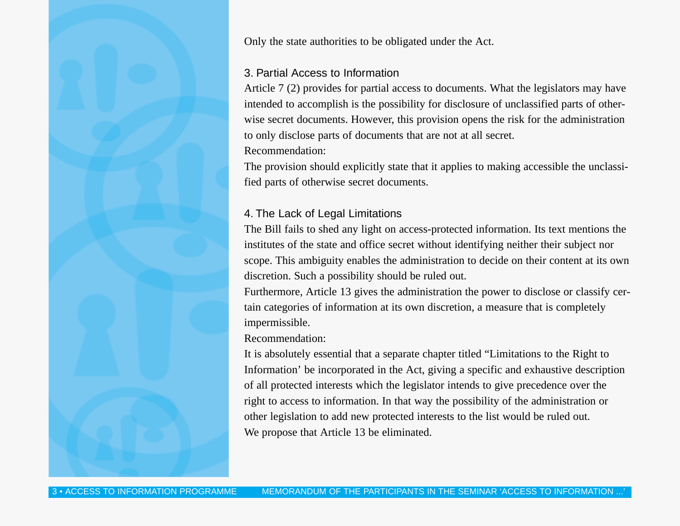Only the state authorities to be obligated under the Act.

#### 3. Partial Access to Information

Article 7 (2) provides for partial access to documents. What the legislators may have intended to accomplish is the possibility for disclosure of unclassified parts of otherwise secret documents. However, this provision opens the risk for the administration to only disclose parts of documents that are not at all secret.

Recommendation:

The provision should explicitly state that it applies to making accessible the unclassified parts of otherwise secret documents.

# 4. The Lack of Legal Limitations

The Bill fails to shed any light on access-protected information. Its text mentions the institutes of the state and office secret without identifying neither their subject nor scope. This ambiguity enables the administration to decide on their content at its own discretion. Such a possibility should be ruled out.

Furthermore, Article 13 gives the administration the power to disclose or classify certain categories of information at its own discretion, a measure that is completely impermissible.

#### Recommendation:

It is absolutely essential that a separate chapter titled "Limitations to the Right to Information' be incorporated in the Act, giving a specific and exhaustive description of all protected interests which the legislator intends to give precedence over the right to access to information. In that way the possibility of the administration or other legislation to add new protected interests to the list would be ruled out. We propose that Article 13 be eliminated.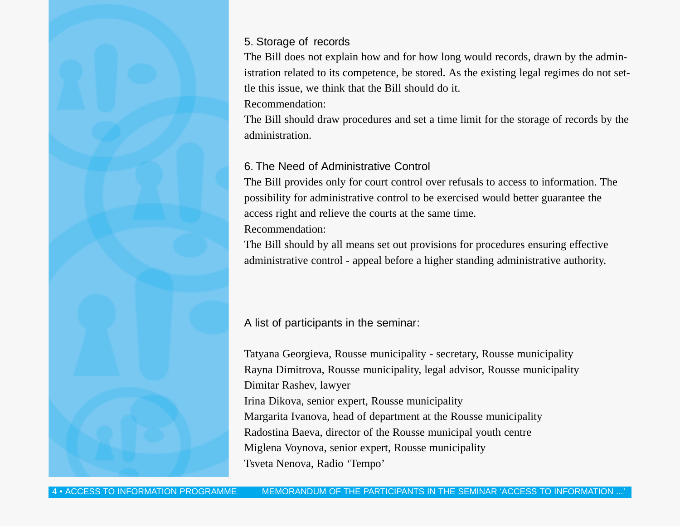## 5. Storage of records

The Bill does not explain how and for how long would records, drawn by the administration related to its competence, be stored. As the existing legal regimes do not settle this issue, we think that the Bill should do it.

Recommendation:

The Bill should draw procedures and set a time limit for the storage of records by the administration.

# 6. The Need of Administrative Control

The Bill provides only for court control over refusals to access to information. The possibility for administrative control to be exercised would better guarantee the access right and relieve the courts at the same time.

Recommendation:

The Bill should by all means set out provisions for procedures ensuring effective administrative control - appeal before a higher standing administrative authority.

A list of participants in the seminar:

Tatyana Georgieva, Rousse municipality - secretary, Rousse municipality Rayna Dimitrova, Rousse municipality, legal advisor, Rousse municipality Dimitar Rashev, lawyer Irina Dikova, senior expert, Rousse municipality Margarita Ivanova, head of department at the Rousse municipality Radostina Baeva, director of the Rousse municipal youth centre Miglena Voynova, senior expert, Rousse municipality Tsveta Nenova, Radio 'Tempo'